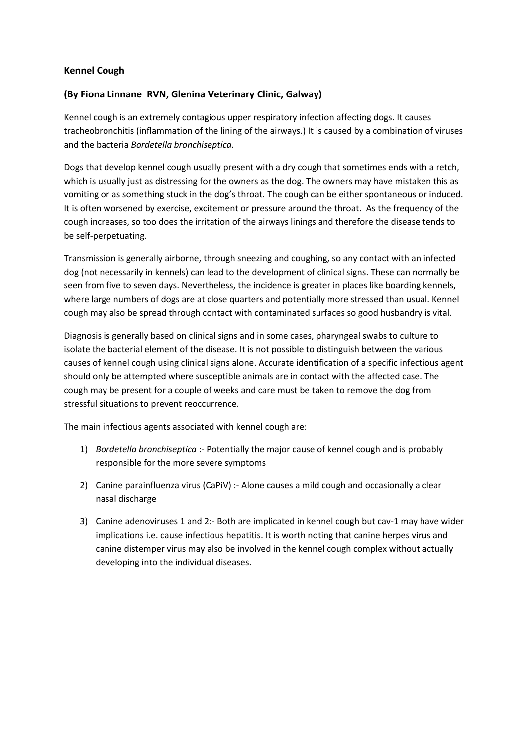## **Kennel Cough**

## **(By Fiona Linnane RVN, Glenina Veterinary Clinic, Galway)**

Kennel cough is an extremely contagious upper respiratory infection affecting dogs. It causes tracheobronchitis (inflammation of the lining of the airways.) It is caused by a combination of viruses and the bacteria *Bordetella bronchiseptica.*

Dogs that develop kennel cough usually present with a dry cough that sometimes ends with a retch, which is usually just as distressing for the owners as the dog. The owners may have mistaken this as vomiting or as something stuck in the dog's throat. The cough can be either spontaneous or induced. It is often worsened by exercise, excitement or pressure around the throat. As the frequency of the cough increases, so too does the irritation of the airways linings and therefore the disease tends to be self-perpetuating.

Transmission is generally airborne, through sneezing and coughing, so any contact with an infected dog (not necessarily in kennels) can lead to the development of clinical signs. These can normally be seen from five to seven days. Nevertheless, the incidence is greater in places like boarding kennels, where large numbers of dogs are at close quarters and potentially more stressed than usual. Kennel cough may also be spread through contact with contaminated surfaces so good husbandry is vital.

Diagnosis is generally based on clinical signs and in some cases, pharyngeal swabs to culture to isolate the bacterial element of the disease. It is not possible to distinguish between the various causes of kennel cough using clinical signs alone. Accurate identification of a specific infectious agent should only be attempted where susceptible animals are in contact with the affected case. The cough may be present for a couple of weeks and care must be taken to remove the dog from stressful situations to prevent reoccurrence.

The main infectious agents associated with kennel cough are:

- 1) *Bordetella bronchiseptica* :- Potentially the major cause of kennel cough and is probably responsible for the more severe symptoms
- 2) Canine parainfluenza virus (CaPiV) :- Alone causes a mild cough and occasionally a clear nasal discharge
- 3) Canine adenoviruses 1 and 2:- Both are implicated in kennel cough but cav-1 may have wider implications i.e. cause infectious hepatitis. It is worth noting that canine herpes virus and canine distemper virus may also be involved in the kennel cough complex without actually developing into the individual diseases.